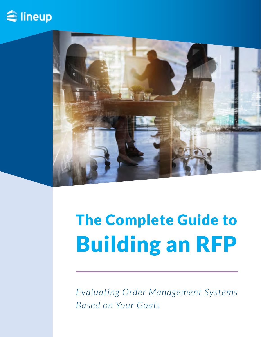



# The Complete Guide to Building an RFP

*Evaluating Order Management Systems Based on Your Goals*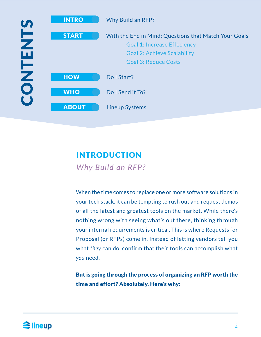

## INTRODUCTION

*Why Build an RFP?*

When the time comes to replace one or more software solutions in your tech stack, it can be tempting to rush out and request demos of all the latest and greatest tools on the market. While there's nothing wrong with seeing what's out there, thinking through your internal requirements is critical. This is where Requests for Proposal (or RFPs) come in. Instead of letting vendors tell you what *they* can do, confirm that their tools can accomplish what *you* need.

But is going through the process of organizing an RFP worth the time and effort? Absolutely. Here's why: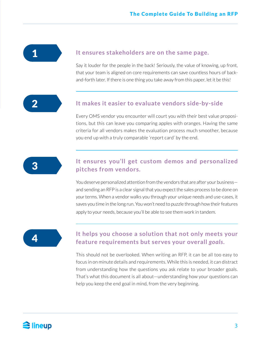1

#### **It ensures stakeholders are on the same page.**

Say it louder for the people in the back! Seriously, the value of knowing, up front, that your team is aligned on core requirements can save countless hours of backand-forth later. If there is one thing you take away from this paper, let it be this!

 $\boldsymbol{\mathcal{D}}$ 

#### **It makes it easier to evaluate vendors side-by-side**

Every OMS vendor you encounter will court you with their best value propositions, but this can leave you comparing apples with oranges. Having the same criteria for all vendors makes the evaluation process much smoother, because you end up with a truly comparable 'report card' by the end.



#### **It ensures you'll get custom demos and personalized pitches from vendors.**

You deserve personalized attention from the vendors that are after your business and sending an RFP is a clear signal that you expect the sales process to be done on *your* terms. When a vendor walks you through your unique needs and use-cases, it saves you time in the long run. You won't need to puzzle through how their features apply to your needs, because you'll be able to see them work in tandem.

$$
\begin{array}{|c|c|}\n\hline\n4 & 1\n\end{array}
$$

#### **It helps you choose a solution that not only meets your feature requirements but serves your overall** *goals***.**

This should not be overlooked. When writing an RFP, it can be all too easy to focus in on minute details and requirements. While this is needed, it can distract from understanding how the questions you ask relate to your broader goals. That's what this document is all about—understanding how your questions can help you keep the end goal in mind, from the very beginning.

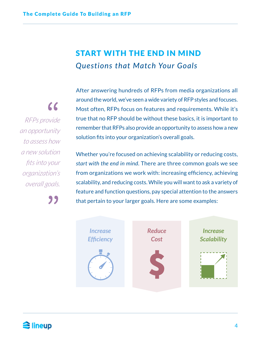## START WITH THE END IN MIND *Questions that Match Your Goals*

 $\epsilon$ *RFPs provide an opportunity to assess how a new solution fits into your organization's overall goals.*

"

After answering hundreds of RFPs from media organizations all around the world, we've seen a wide variety of RFP styles and focuses. Most often, RFPs focus on features and requirements. While it's true that no RFP should be without these basics, it is important to remember that RFPs also provide an opportunity to assess how a new solution fits into your organization's overall goals.

Whether you're focused on achieving scalability or reducing costs, *start with the end in mind*. There are three common goals we see from organizations we work with: increasing efficiency, achieving scalability, and reducing costs. While you will want to ask a variety of feature and function questions, pay special attention to the answers that pertain to your larger goals. Here are some examples:



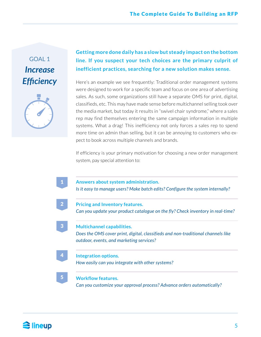## GOAL 1 *Increase Efficiency*



#### **Getting more done daily has a slow but steady impact on the bottom line. If you suspect your tech choices are the primary culprit of inefficient practices, searching for a new solution makes sense.**

Here's an example we see frequently: Traditional order management systems were designed to work for a specific team and focus on one area of advertising sales. As such, some organizations still have a separate OMS for print, digital, classifieds, etc. This may have made sense before multichannel selling took over the media market, but today it results in "swivel chair syndrome," where a sales rep may find themselves entering the same campaign information in multiple systems. What a drag! This inefficiency not only forces a sales rep to spend more time on admin than selling, but it can be annoying to customers who expect to book across multiple channels and brands.

If efficiency is your primary motivation for choosing a new order management system, pay special attention to:



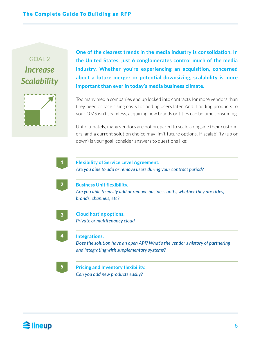## GOAL<sub>2</sub> *Increase Efficiency Scalability*



**One of the clearest trends in the media industry is consolidation. In the United States, just 6 conglomerates control much of the media industry. Whether you're experiencing an acquisition, concerned about a future merger or potential downsizing, scalability is more important than ever in today's media business climate.**

Too many media companies end up locked into contracts for more vendors than they need or face rising costs for adding users later. And if adding products to your OMS isn't seamless, acquiring new brands or titles can be time consuming.

Unfortunately, many vendors are not prepared to scale alongside their customers, and a current solution choice may limit future options. If scalability (up or down) is your goal, consider answers to questions like:

|                                                                                                         | <b>Business Unit flexibility.</b>                                             |
|---------------------------------------------------------------------------------------------------------|-------------------------------------------------------------------------------|
| Are you able to easily add or remove business units, whether they are titles,<br>brands, channels, etc? |                                                                               |
|                                                                                                         | <b>Cloud hosting options.</b>                                                 |
|                                                                                                         | Private or multitenancy cloud                                                 |
| Integrations.                                                                                           |                                                                               |
|                                                                                                         | Does the solution have an open API? What's the vendor's history of partnering |
|                                                                                                         | and integrating with supplementary systems?                                   |

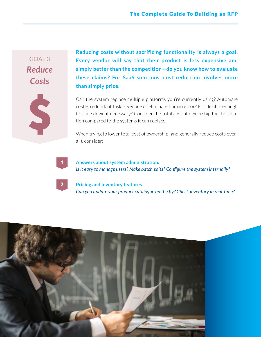### GOAL 3 *Reduce Costs*

S

**Reducing costs without sacrificing functionality is always a goal. Every vendor will say that their product is less expensive and simply better than the competition—do you know how to evaluate these claims? For SaaS solutions, cost reduction involves more than simply price.** 

Can the system replace multiple platforms you're currently using? Automate costly, redundant tasks? Reduce or eliminate human error? Is it flexible enough to scale down if necessary? Consider the total cost of ownership for the solution compared to the systems it can replace.

When trying to lower total cost of ownership (and generally reduce costs overall), consider:

## 1

2

**Answers about system administration.**  *Is it easy to manage users? Make batch edits? Configure the system internally?*

**Pricing and Inventory features.**  *Can you update your product catalogue on the fly? Check inventory in real-time?* 

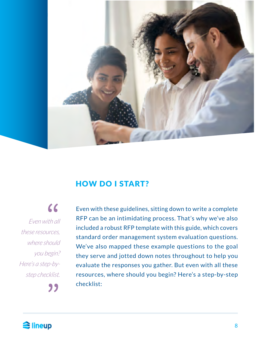

#### HOW DO I START?

 $\epsilon$ *Even with all these resources, where should you begin? Here's a step-bystep checklist.*

Even with these guidelines, sitting down to write a complete RFP can be an intimidating process. That's why we've also included a robust RFP template with this guide, which covers standard order management system evaluation questions. We've also mapped these example questions to the goal they serve and jotted down notes throughout to help you evaluate the responses you gather. But even with all these resources, where should you begin? Here's a step-by-step checklist:

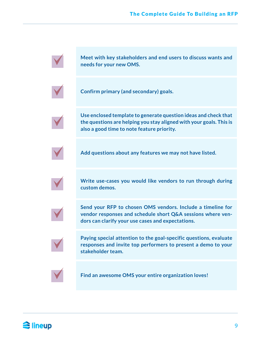**Meet with key stakeholders and end users to discuss wants and needs for your new OMS.**



**Confirm primary (and secondary) goals.**

**Use enclosed template to generate question ideas and check that the questions are helping you stay aligned with your goals. This is also a good time to note feature priority.**



**Add questions about any features we may not have listed.**



**Write use-cases you would like vendors to run through during custom demos.**



**Send your RFP to chosen OMS vendors. Include a timeline for vendor responses and schedule short Q&A sessions where vendors can clarify your use cases and expectations.**



**Paying special attention to the goal-specific questions, evaluate responses and invite top performers to present a demo to your stakeholder team.**



**Find an awesome OMS your entire organization loves!**

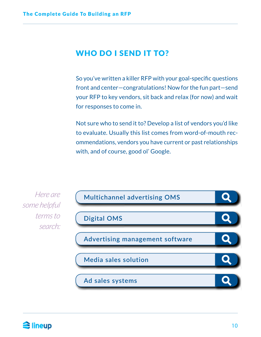## WHO DO I SEND IT TO?

So you've written a killer RFP with your goal-specific questions front and center—congratulations! Now for the fun part—send your RFP to key vendors, sit back and relax (for now) and wait for responses to come in.

Not sure who to send it to? Develop a list of vendors you'd like to evaluate. Usually this list comes from word-of-mouth recommendations, vendors you have current or past relationships with, and of course, good ol' Google.

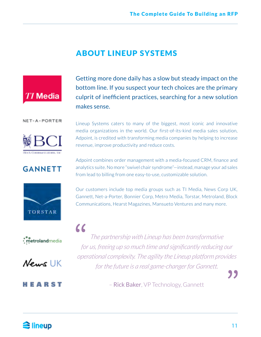### ABOUT LINEUP SYSTEMS



Getting more done daily has a slow but steady impact on the bottom line. If you suspect your tech choices are the primary culprit of inefficient practices, searching for a new solution makes sense.

NET-A-PORTER



## **GANNETT**







#### MEARST

Lineup Systems caters to many of the biggest, most iconic and innovative media organizations in the world. Our first-of-its-kind media sales solution, Adpoint, is credited with transforming media companies by helping to increase revenue, improve productivity and reduce costs.

Adpoint combines order management with a media-focused CRM, finance and analytics suite. No more "swivel chair syndrome"—instead, manage your ad sales from lead to billing from one easy-to-use, customizable solution.

Our customers include top media groups such as TI Media, News Corp UK, Gannett, Net-a-Porter, Bonnier Corp, Metro Media, Torstar, Metroland, Block Communications, Hearst Magazines, Mansueto Ventures and many more.

 $\epsilon$ *The partnership with Lineup has been transformative for us, freeing up so much time and significantly reducing our operational complexity. The agility the Lineup platform provides for the future is a real game-changer for Gannett.*

– Rick Baker, VP Technology, Gannett